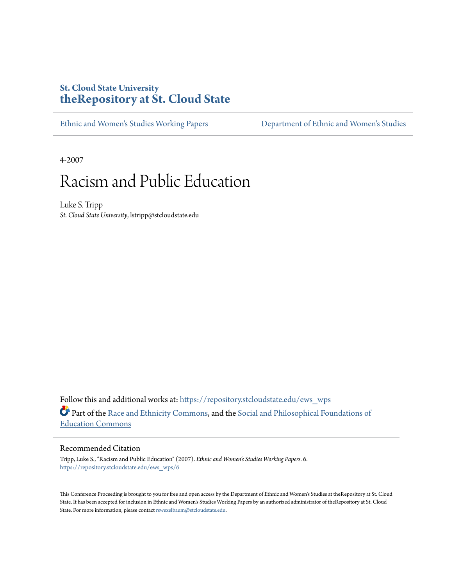#### **St. Cloud State University [theRepository at St. Cloud State](https://repository.stcloudstate.edu?utm_source=repository.stcloudstate.edu%2Fews_wps%2F6&utm_medium=PDF&utm_campaign=PDFCoverPages)**

[Ethnic and Women's Studies Working Papers](https://repository.stcloudstate.edu/ews_wps?utm_source=repository.stcloudstate.edu%2Fews_wps%2F6&utm_medium=PDF&utm_campaign=PDFCoverPages) [Department of Ethnic and Women's Studies](https://repository.stcloudstate.edu/ews?utm_source=repository.stcloudstate.edu%2Fews_wps%2F6&utm_medium=PDF&utm_campaign=PDFCoverPages)

4-2007

# Racism and Public Education

Luke S. Tripp *St. Cloud State University*, lstripp@stcloudstate.edu

Follow this and additional works at: [https://repository.stcloudstate.edu/ews\\_wps](https://repository.stcloudstate.edu/ews_wps?utm_source=repository.stcloudstate.edu%2Fews_wps%2F6&utm_medium=PDF&utm_campaign=PDFCoverPages) Part of the [Race and Ethnicity Commons,](http://network.bepress.com/hgg/discipline/426?utm_source=repository.stcloudstate.edu%2Fews_wps%2F6&utm_medium=PDF&utm_campaign=PDFCoverPages) and the [Social and Philosophical Foundations of](http://network.bepress.com/hgg/discipline/799?utm_source=repository.stcloudstate.edu%2Fews_wps%2F6&utm_medium=PDF&utm_campaign=PDFCoverPages) [Education Commons](http://network.bepress.com/hgg/discipline/799?utm_source=repository.stcloudstate.edu%2Fews_wps%2F6&utm_medium=PDF&utm_campaign=PDFCoverPages)

#### Recommended Citation

Tripp, Luke S., "Racism and Public Education" (2007). *Ethnic and Women's Studies Working Papers*. 6. [https://repository.stcloudstate.edu/ews\\_wps/6](https://repository.stcloudstate.edu/ews_wps/6?utm_source=repository.stcloudstate.edu%2Fews_wps%2F6&utm_medium=PDF&utm_campaign=PDFCoverPages)

This Conference Proceeding is brought to you for free and open access by the Department of Ethnic and Women's Studies at theRepository at St. Cloud State. It has been accepted for inclusion in Ethnic and Women's Studies Working Papers by an authorized administrator of theRepository at St. Cloud State. For more information, please contact [rswexelbaum@stcloudstate.edu.](mailto:rswexelbaum@stcloudstate.edu)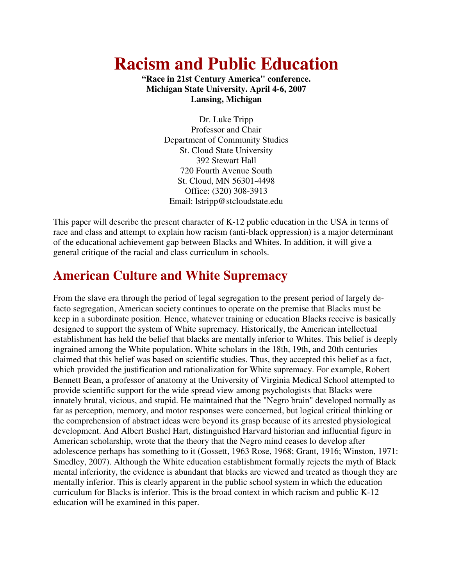# **Racism and Public Education**

**"Race in 21st Century America" conference. Michigan State University. April 4-6, 2007 Lansing, Michigan**

> Dr. Luke Tripp Professor and Chair Department of Community Studies St. Cloud State University 392 Stewart Hall 720 Fourth Avenue South St. Cloud, MN 56301-4498 Office: (320) 308-3913 Email: lstripp@stcloudstate.edu

This paper will describe the present character of K-12 public education in the USA in terms of race and class and attempt to explain how racism (anti-black oppression) is a major determinant of the educational achievement gap between Blacks and Whites. In addition, it will give a general critique of the racial and class curriculum in schools.

#### **American Culture and White Supremacy**

From the slave era through the period of legal segregation to the present period of largely defacto segregation, American society continues to operate on the premise that Blacks must be keep in a subordinate position. Hence, whatever training or education Blacks receive is basically designed to support the system of White supremacy. Historically, the American intellectual establishment has held the belief that blacks are mentally inferior to Whites. This belief is deeply ingrained among the White population. White scholars in the 18th, 19th, and 20th centuries claimed that this belief was based on scientific studies. Thus, they accepted this belief as a fact, which provided the justification and rationalization for White supremacy. For example, Robert Bennett Bean, a professor of anatomy at the University of Virginia Medical School attempted to provide scientific support for the wide spread view among psychologists that Blacks were innately brutal, vicious, and stupid. He maintained that the "Negro brain" developed normally as far as perception, memory, and motor responses were concerned, but logical critical thinking or the comprehension of abstract ideas were beyond its grasp because of its arrested physiological development. And Albert Bushel Hart, distinguished Harvard historian and influential figure in American scholarship, wrote that the theory that the Negro mind ceases lo develop after adolescence perhaps has something to it (Gossett, 1963 Rose, 1968; Grant, 1916; Winston, 1971: Smedley, 2007). Although the White education establishment formally rejects the myth of Black mental inferiority, the evidence is abundant that blacks are viewed and treated as though they are mentally inferior. This is clearly apparent in the public school system in which the education curriculum for Blacks is inferior. This is the broad context in which racism and public K-12 education will be examined in this paper.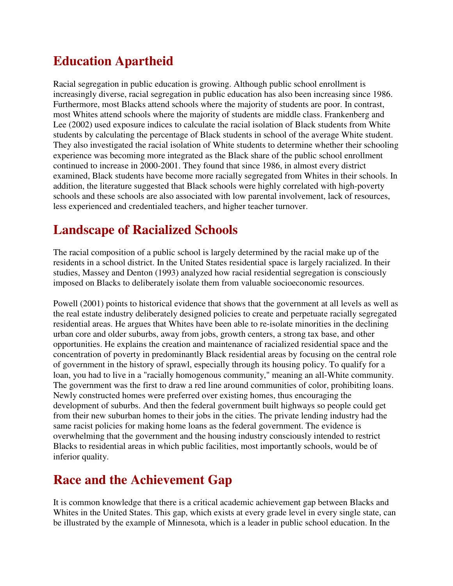## **Education Apartheid**

Racial segregation in public education is growing. Although public school enrollment is increasingly diverse, racial segregation in public education has also been increasing since 1986. Furthermore, most Blacks attend schools where the majority of students are poor. In contrast, most Whites attend schools where the majority of students are middle class. Frankenberg and Lee (2002) used exposure indices to calculate the racial isolation of Black students from White students by calculating the percentage of Black students in school of the average White student. They also investigated the racial isolation of White students to determine whether their schooling experience was becoming more integrated as the Black share of the public school enrollment continued to increase in 2000-2001. They found that since 1986, in almost every district examined, Black students have become more racially segregated from Whites in their schools. In addition, the literature suggested that Black schools were highly correlated with high-poverty schools and these schools are also associated with low parental involvement, lack of resources, less experienced and credentialed teachers, and higher teacher turnover.

## **Landscape of Racialized Schools**

The racial composition of a public school is largely determined by the racial make up of the residents in a school district. In the United States residential space is largely racialized. In their studies, Massey and Denton (1993) analyzed how racial residential segregation is consciously imposed on Blacks to deliberately isolate them from valuable socioeconomic resources.

Powell (2001) points to historical evidence that shows that the government at all levels as well as the real estate industry deliberately designed policies to create and perpetuate racially segregated residential areas. He argues that Whites have been able to re-isolate minorities in the declining urban core and older suburbs, away from jobs, growth centers, a strong tax base, and other opportunities. He explains the creation and maintenance of racialized residential space and the concentration of poverty in predominantly Black residential areas by focusing on the central role of government in the history of sprawl, especially through its housing policy. To qualify for a loan, you had to live in a "racially homogenous community," meaning an all-White community. The government was the first to draw a red line around communities of color, prohibiting loans. Newly constructed homes were preferred over existing homes, thus encouraging the development of suburbs. And then the federal government built highways so people could get from their new suburban homes to their jobs in the cities. The private lending industry had the same racist policies for making home loans as the federal government. The evidence is overwhelming that the government and the housing industry consciously intended to restrict Blacks to residential areas in which public facilities, most importantly schools, would be of inferior quality.

### **Race and the Achievement Gap**

It is common knowledge that there is a critical academic achievement gap between Blacks and Whites in the United States. This gap, which exists at every grade level in every single state, can be illustrated by the example of Minnesota, which is a leader in public school education. In the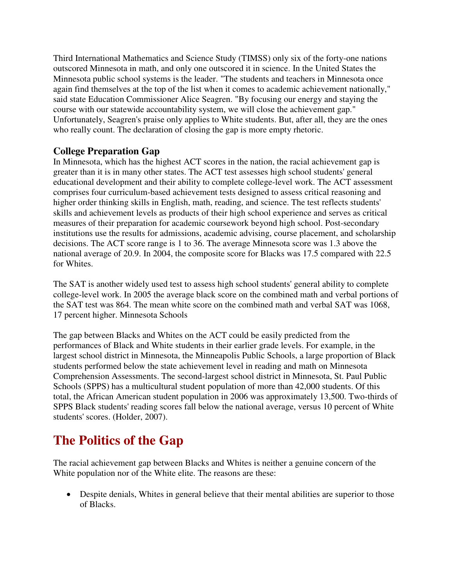Third International Mathematics and Science Study (TIMSS) only six of the forty-one nations outscored Minnesota in math, and only one outscored it in science. In the United States the Minnesota public school systems is the leader. "The students and teachers in Minnesota once again find themselves at the top of the list when it comes to academic achievement nationally," said state Education Commissioner Alice Seagren. "By focusing our energy and staying the course with our statewide accountability system, we will close the achievement gap." Unfortunately, Seagren's praise only applies to White students. But, after all, they are the ones who really count. The declaration of closing the gap is more empty rhetoric.

#### **College Preparation Gap**

In Minnesota, which has the highest ACT scores in the nation, the racial achievement gap is greater than it is in many other states. The ACT test assesses high school students' general educational development and their ability to complete college-level work. The ACT assessment comprises four curriculum-based achievement tests designed to assess critical reasoning and higher order thinking skills in English, math, reading, and science. The test reflects students' skills and achievement levels as products of their high school experience and serves as critical measures of their preparation for academic coursework beyond high school. Post-secondary institutions use the results for admissions, academic advising, course placement, and scholarship decisions. The ACT score range is 1 to 36. The average Minnesota score was 1.3 above the national average of 20.9. In 2004, the composite score for Blacks was 17.5 compared with 22.5 for Whites.

The SAT is another widely used test to assess high school students' general ability to complete college-level work. In 2005 the average black score on the combined math and verbal portions of the SAT test was 864. The mean white score on the combined math and verbal SAT was 1068, 17 percent higher. Minnesota Schools

The gap between Blacks and Whites on the ACT could be easily predicted from the performances of Black and White students in their earlier grade levels. For example, in the largest school district in Minnesota, the Minneapolis Public Schools, a large proportion of Black students performed below the state achievement level in reading and math on Minnesota Comprehension Assessments. The second-largest school district in Minnesota, St. Paul Public Schools (SPPS) has a multicultural student population of more than 42,000 students. Of this total, the African American student population in 2006 was approximately 13,500. Two-thirds of SPPS Black students' reading scores fall below the national average, versus 10 percent of White students' scores. (Holder, 2007).

### **The Politics of the Gap**

The racial achievement gap between Blacks and Whites is neither a genuine concern of the White population nor of the White elite. The reasons are these:

• Despite denials, Whites in general believe that their mental abilities are superior to those of Blacks.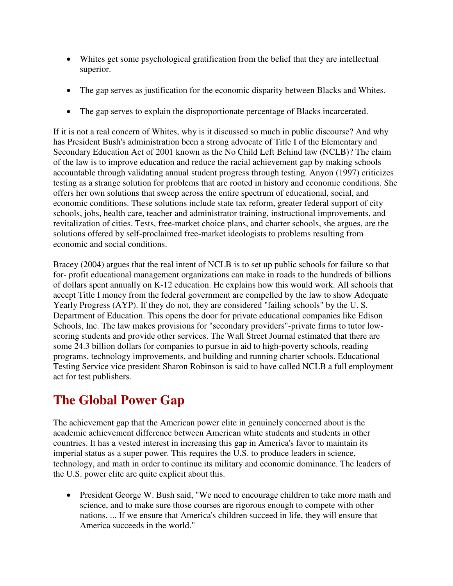- Whites get some psychological gratification from the belief that they are intellectual superior.
- The gap serves as justification for the economic disparity between Blacks and Whites.
- The gap serves to explain the disproportionate percentage of Blacks incarcerated.

If it is not a real concern of Whites, why is it discussed so much in public discourse? And why has President Bush's administration been a strong advocate of Title I of the Elementary and Secondary Education Act of 2001 known as the No Child Left Behind law (NCLB)? The claim of the law is to improve education and reduce the racial achievement gap by making schools accountable through validating annual student progress through testing. Anyon (1997) criticizes testing as a strange solution for problems that are rooted in history and economic conditions. She offers her own solutions that sweep across the entire spectrum of educational, social, and economic conditions. These solutions include state tax reform, greater federal support of city schools, jobs, health care, teacher and administrator training, instructional improvements, and revitalization of cities. Tests, free-market choice plans, and charter schools, she argues, are the solutions offered by self-proclaimed free-market ideologists to problems resulting from economic and social conditions.

Bracey (2004) argues that the real intent of NCLB is to set up public schools for failure so that for- profit educational management organizations can make in roads to the hundreds of billions of dollars spent annually on K-12 education. He explains how this would work. All schools that accept Title I money from the federal government are compelled by the law to show Adequate Yearly Progress (AYP). If they do not, they are considered "failing schools" by the U. S. Department of Education. This opens the door for private educational companies like Edison Schools, Inc. The law makes provisions for "secondary providers"-private firms to tutor lowscoring students and provide other services. The Wall Street Journal estimated that there are some 24.3 billion dollars for companies to pursue in aid to high-poverty schools, reading programs, technology improvements, and building and running charter schools. Educational Testing Service vice president Sharon Robinson is said to have called NCLB a full employment act for test publishers.

## **The Global Power Gap**

The achievement gap that the American power elite in genuinely concerned about is the academic achievement difference between American white students and students in other countries. It has a vested interest in increasing this gap in America's favor to maintain its imperial status as a super power. This requires the U.S. to produce leaders in science, technology, and math in order to continue its military and economic dominance. The leaders of the U.S. power elite are quite explicit about this.

• President George W. Bush said, "We need to encourage children to take more math and science, and to make sure those courses are rigorous enough to compete with other nations. ... If we ensure that America's children succeed in life, they will ensure that America succeeds in the world."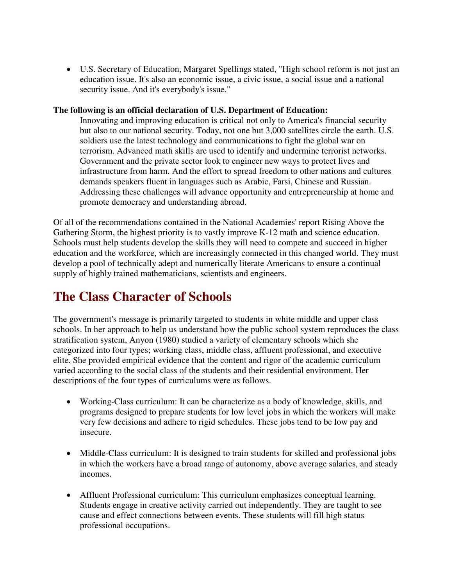• U.S. Secretary of Education, Margaret Spellings stated, "High school reform is not just an education issue. It's also an economic issue, a civic issue, a social issue and a national security issue. And it's everybody's issue."

#### **The following is an official declaration of U.S. Department of Education:**

Innovating and improving education is critical not only to America's financial security but also to our national security. Today, not one but 3,000 satellites circle the earth. U.S. soldiers use the latest technology and communications to fight the global war on terrorism. Advanced math skills are used to identify and undermine terrorist networks. Government and the private sector look to engineer new ways to protect lives and infrastructure from harm. And the effort to spread freedom to other nations and cultures demands speakers fluent in languages such as Arabic, Farsi, Chinese and Russian. Addressing these challenges will advance opportunity and entrepreneurship at home and promote democracy and understanding abroad.

Of all of the recommendations contained in the National Academies' report Rising Above the Gathering Storm, the highest priority is to vastly improve K-12 math and science education. Schools must help students develop the skills they will need to compete and succeed in higher education and the workforce, which are increasingly connected in this changed world. They must develop a pool of technically adept and numerically literate Americans to ensure a continual supply of highly trained mathematicians, scientists and engineers.

### **The Class Character of Schools**

The government's message is primarily targeted to students in white middle and upper class schools. In her approach to help us understand how the public school system reproduces the class stratification system, Anyon (1980) studied a variety of elementary schools which she categorized into four types; working class, middle class, affluent professional, and executive elite. She provided empirical evidence that the content and rigor of the academic curriculum varied according to the social class of the students and their residential environment. Her descriptions of the four types of curriculums were as follows.

- Working-Class curriculum: It can be characterize as a body of knowledge, skills, and programs designed to prepare students for low level jobs in which the workers will make very few decisions and adhere to rigid schedules. These jobs tend to be low pay and insecure.
- Middle-Class curriculum: It is designed to train students for skilled and professional jobs in which the workers have a broad range of autonomy, above average salaries, and steady incomes.
- Affluent Professional curriculum: This curriculum emphasizes conceptual learning. Students engage in creative activity carried out independently. They are taught to see cause and effect connections between events. These students will fill high status professional occupations.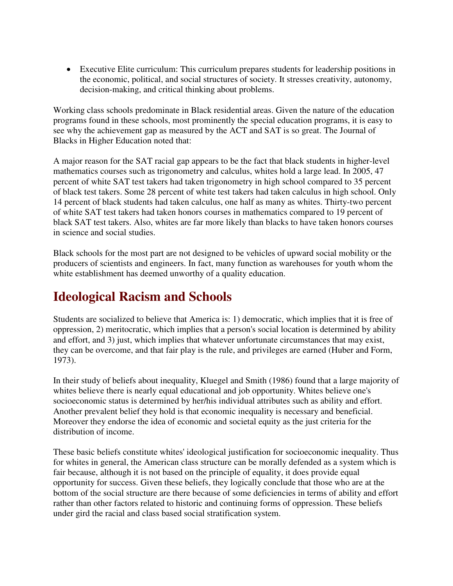• Executive Elite curriculum: This curriculum prepares students for leadership positions in the economic, political, and social structures of society. It stresses creativity, autonomy, decision-making, and critical thinking about problems.

Working class schools predominate in Black residential areas. Given the nature of the education programs found in these schools, most prominently the special education programs, it is easy to see why the achievement gap as measured by the ACT and SAT is so great. The Journal of Blacks in Higher Education noted that:

A major reason for the SAT racial gap appears to be the fact that black students in higher-level mathematics courses such as trigonometry and calculus, whites hold a large lead. In 2005, 47 percent of white SAT test takers had taken trigonometry in high school compared to 35 percent of black test takers. Some 28 percent of white test takers had taken calculus in high school. Only 14 percent of black students had taken calculus, one half as many as whites. Thirty-two percent of white SAT test takers had taken honors courses in mathematics compared to 19 percent of black SAT test takers. Also, whites are far more likely than blacks to have taken honors courses in science and social studies.

Black schools for the most part are not designed to be vehicles of upward social mobility or the producers of scientists and engineers. In fact, many function as warehouses for youth whom the white establishment has deemed unworthy of a quality education.

### **Ideological Racism and Schools**

Students are socialized to believe that America is: 1) democratic, which implies that it is free of oppression, 2) meritocratic, which implies that a person's social location is determined by ability and effort, and 3) just, which implies that whatever unfortunate circumstances that may exist, they can be overcome, and that fair play is the rule, and privileges are earned (Huber and Form, 1973).

In their study of beliefs about inequality, Kluegel and Smith (1986) found that a large majority of whites believe there is nearly equal educational and job opportunity. Whites believe one's socioeconomic status is determined by her/his individual attributes such as ability and effort. Another prevalent belief they hold is that economic inequality is necessary and beneficial. Moreover they endorse the idea of economic and societal equity as the just criteria for the distribution of income.

These basic beliefs constitute whites' ideological justification for socioeconomic inequality. Thus for whites in general, the American class structure can be morally defended as a system which is fair because, although it is not based on the principle of equality, it does provide equal opportunity for success. Given these beliefs, they logically conclude that those who are at the bottom of the social structure are there because of some deficiencies in terms of ability and effort rather than other factors related to historic and continuing forms of oppression. These beliefs under gird the racial and class based social stratification system.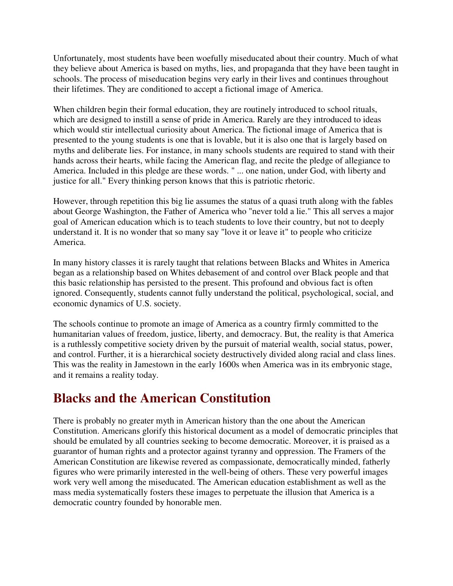Unfortunately, most students have been woefully miseducated about their country. Much of what they believe about America is based on myths, lies, and propaganda that they have been taught in schools. The process of miseducation begins very early in their lives and continues throughout their lifetimes. They are conditioned to accept a fictional image of America.

When children begin their formal education, they are routinely introduced to school rituals, which are designed to instill a sense of pride in America. Rarely are they introduced to ideas which would stir intellectual curiosity about America. The fictional image of America that is presented to the young students is one that is lovable, but it is also one that is largely based on myths and deliberate lies. For instance, in many schools students are required to stand with their hands across their hearts, while facing the American flag, and recite the pledge of allegiance to America. Included in this pledge are these words. " ... one nation, under God, with liberty and justice for all." Every thinking person knows that this is patriotic rhetoric.

However, through repetition this big lie assumes the status of a quasi truth along with the fables about George Washington, the Father of America who "never told a lie." This all serves a major goal of American education which is to teach students to love their country, but not to deeply understand it. It is no wonder that so many say "love it or leave it" to people who criticize America.

In many history classes it is rarely taught that relations between Blacks and Whites in America began as a relationship based on Whites debasement of and control over Black people and that this basic relationship has persisted to the present. This profound and obvious fact is often ignored. Consequently, students cannot fully understand the political, psychological, social, and economic dynamics of U.S. society.

The schools continue to promote an image of America as a country firmly committed to the humanitarian values of freedom, justice, liberty, and democracy. But, the reality is that America is a ruthlessly competitive society driven by the pursuit of material wealth, social status, power, and control. Further, it is a hierarchical society destructively divided along racial and class lines. This was the reality in Jamestown in the early 1600s when America was in its embryonic stage, and it remains a reality today.

#### **Blacks and the American Constitution**

There is probably no greater myth in American history than the one about the American Constitution. Americans glorify this historical document as a model of democratic principles that should be emulated by all countries seeking to become democratic. Moreover, it is praised as a guarantor of human rights and a protector against tyranny and oppression. The Framers of the American Constitution are likewise revered as compassionate, democratically minded, fatherly figures who were primarily interested in the well-being of others. These very powerful images work very well among the miseducated. The American education establishment as well as the mass media systematically fosters these images to perpetuate the illusion that America is a democratic country founded by honorable men.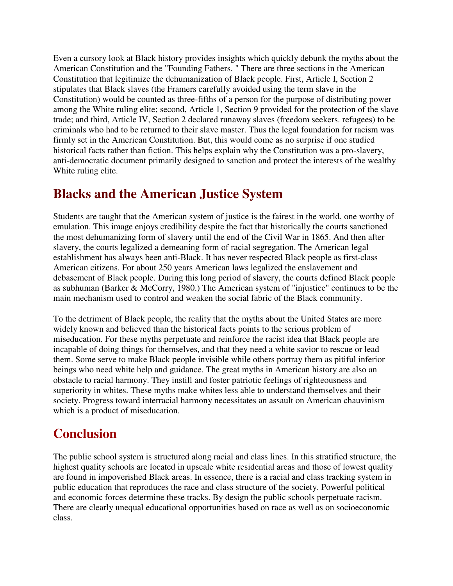Even a cursory look at Black history provides insights which quickly debunk the myths about the American Constitution and the "Founding Fathers. " There are three sections in the American Constitution that legitimize the dehumanization of Black people. First, Article I, Section 2 stipulates that Black slaves (the Framers carefully avoided using the term slave in the Constitution) would be counted as three-fifths of a person for the purpose of distributing power among the White ruling elite; second, Article 1, Section 9 provided for the protection of the slave trade; and third, Article IV, Section 2 declared runaway slaves (freedom seekers. refugees) to be criminals who had to be returned to their slave master. Thus the legal foundation for racism was firmly set in the American Constitution. But, this would come as no surprise if one studied historical facts rather than fiction. This helps explain why the Constitution was a pro-slavery, anti-democratic document primarily designed to sanction and protect the interests of the wealthy White ruling elite.

#### **Blacks and the American Justice System**

Students are taught that the American system of justice is the fairest in the world, one worthy of emulation. This image enjoys credibility despite the fact that historically the courts sanctioned the most dehumanizing form of slavery until the end of the Civil War in 1865. And then after slavery, the courts legalized a demeaning form of racial segregation. The American legal establishment has always been anti-Black. It has never respected Black people as first-class American citizens. For about 250 years American laws legalized the enslavement and debasement of Black people. During this long period of slavery, the courts defined Black people as subhuman (Barker & McCorry, 1980.) The American system of "injustice" continues to be the main mechanism used to control and weaken the social fabric of the Black community.

To the detriment of Black people, the reality that the myths about the United States are more widely known and believed than the historical facts points to the serious problem of miseducation. For these myths perpetuate and reinforce the racist idea that Black people are incapable of doing things for themselves, and that they need a white savior to rescue or lead them. Some serve to make Black people invisible while others portray them as pitiful inferior beings who need white help and guidance. The great myths in American history are also an obstacle to racial harmony. They instill and foster patriotic feelings of righteousness and superiority in whites. These myths make whites less able to understand themselves and their society. Progress toward interracial harmony necessitates an assault on American chauvinism which is a product of miseducation.

### **Conclusion**

The public school system is structured along racial and class lines. In this stratified structure, the highest quality schools are located in upscale white residential areas and those of lowest quality are found in impoverished Black areas. In essence, there is a racial and class tracking system in public education that reproduces the race and class structure of the society. Powerful political and economic forces determine these tracks. By design the public schools perpetuate racism. There are clearly unequal educational opportunities based on race as well as on socioeconomic class.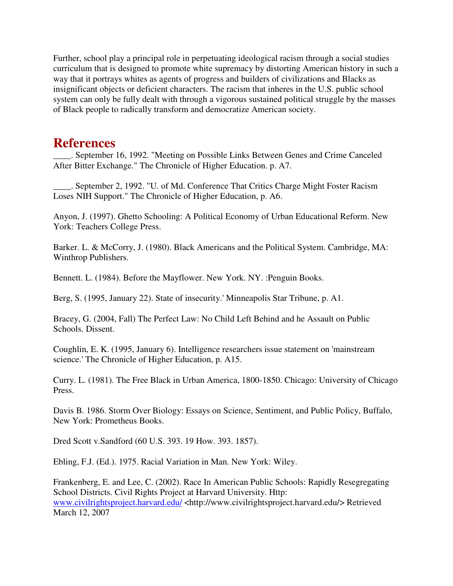Further, school play a principal role in perpetuating ideological racism through a social studies curriculum that is designed to promote white supremacy by distorting American history in such a way that it portrays whites as agents of progress and builders of civilizations and Blacks as insignificant objects or deficient characters. The racism that inheres in the U.S. public school system can only be fully dealt with through a vigorous sustained political struggle by the masses of Black people to radically transform and democratize American society.

#### **References**

\_\_\_\_. September 16, 1992. "Meeting on Possible Links Between Genes and Crime Canceled After Bitter Exchange." The Chronicle of Higher Education. p. A7.

\_\_\_\_. September 2, 1992. "U. of Md. Conference That Critics Charge Might Foster Racism Loses NIH Support." The Chronicle of Higher Education, p. A6.

Anyon, J. (1997). Ghetto Schooling: A Political Economy of Urban Educational Reform. New York: Teachers College Press.

Barker. L. & McCorry, J. (1980). Black Americans and the Political System. Cambridge, MA: Winthrop Publishers.

Bennett. L. (1984). Before the Mayflower. New York. NY. :Penguin Books.

Berg, S. (1995, January 22). State of insecurity.' Minneapolis Star Tribune, p. A1.

Bracey, G. (2004, Fall) The Perfect Law: No Child Left Behind and he Assault on Public Schools. Dissent.

Coughlin, E. K. (1995, January 6). Intelligence researchers issue statement on 'mainstream science.' The Chronicle of Higher Education, p. A15.

Curry. L. (1981). The Free Black in Urban America, 1800-1850. Chicago: University of Chicago Press.

Davis B. 1986. Storm Over Biology: Essays on Science, Sentiment, and Public Policy, Buffalo, New York: Prometheus Books.

Dred Scott v.Sandford (60 U.S. 393. 19 How. 393. 1857).

Ebling, F.J. (Ed.). 1975. Racial Variation in Man. New York: Wiley.

Frankenberg, E. and Lee, C. (2002). Race In American Public Schools: Rapidly Resegregating School Districts. Civil Rights Project at Harvard University. Http: www.civilrightsproject.harvard.edu/ <http://www.civilrightsproject.harvard.edu/> Retrieved March 12, 2007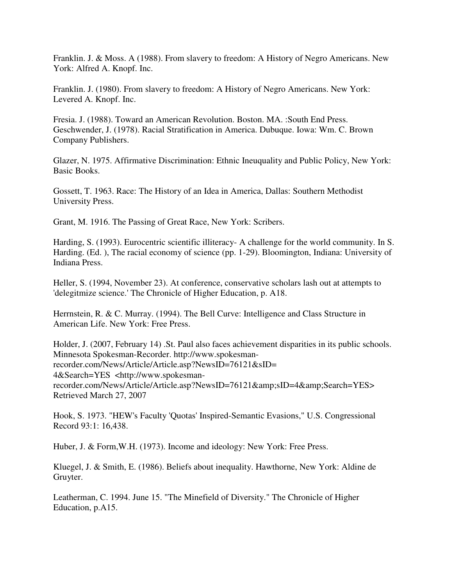Franklin. J. & Moss. A (1988). From slavery to freedom: A History of Negro Americans. New York: Alfred A. Knopf. Inc.

Franklin. J. (1980). From slavery to freedom: A History of Negro Americans. New York: Levered A. Knopf. Inc.

Fresia. J. (1988). Toward an American Revolution. Boston. MA. :South End Press. Geschwender, J. (1978). Racial Stratification in America. Dubuque. Iowa: Wm. C. Brown Company Publishers.

Glazer, N. 1975. Affirmative Discrimination: Ethnic Ineuquality and Public Policy, New York: Basic Books.

Gossett, T. 1963. Race: The History of an Idea in America, Dallas: Southern Methodist University Press.

Grant, M. 1916. The Passing of Great Race, New York: Scribers.

Harding, S. (1993). Eurocentric scientific illiteracy- A challenge for the world community. In S. Harding. (Ed. ), The racial economy of science (pp. 1-29). Bloomington, Indiana: University of Indiana Press.

Heller, S. (1994, November 23). At conference, conservative scholars lash out at attempts to 'delegitmize science.' The Chronicle of Higher Education, p. A18.

Herrnstein, R. & C. Murray. (1994). The Bell Curve: Intelligence and Class Structure in American Life. New York: Free Press.

Holder, J. (2007, February 14) .St. Paul also faces achievement disparities in its public schools. Minnesota Spokesman-Recorder. http://www.spokesmanrecorder.com/News/Article/Article.asp?NewsID=76121&sID= 4&Search=YES <http://www.spokesmanrecorder.com/News/Article/Article.asp?NewsID=76121&sID=4&Search=YES> Retrieved March 27, 2007

Hook, S. 1973. "HEW's Faculty 'Quotas' Inspired-Semantic Evasions," U.S. Congressional Record 93:1: 16,438.

Huber, J. & Form,W.H. (1973). Income and ideology: New York: Free Press.

Kluegel, J. & Smith, E. (1986). Beliefs about inequality. Hawthorne, New York: Aldine de Gruyter.

Leatherman, C. 1994. June 15. "The Minefield of Diversity." The Chronicle of Higher Education, p.A15.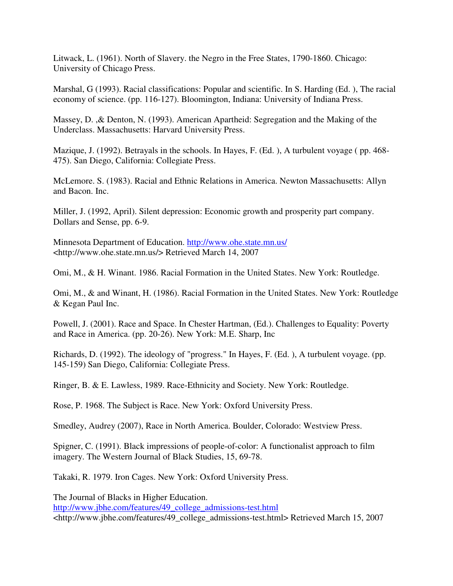Litwack, L. (1961). North of Slavery. the Negro in the Free States, 1790-1860. Chicago: University of Chicago Press.

Marshal, G (1993). Racial classifications: Popular and scientific. In S. Harding (Ed. ), The racial economy of science. (pp. 116-127). Bloomington, Indiana: University of Indiana Press.

Massey, D. ,& Denton, N. (1993). American Apartheid: Segregation and the Making of the Underclass. Massachusetts: Harvard University Press.

Mazique, J. (1992). Betrayals in the schools. In Hayes, F. (Ed. ), A turbulent voyage ( pp. 468- 475). San Diego, California: Collegiate Press.

McLemore. S. (1983). Racial and Ethnic Relations in America. Newton Massachusetts: Allyn and Bacon. Inc.

Miller, J. (1992, April). Silent depression: Economic growth and prosperity part company. Dollars and Sense, pp. 6-9.

Minnesota Department of Education. http://www.ohe.state.mn.us/ <http://www.ohe.state.mn.us/> Retrieved March 14, 2007

Omi, M., & H. Winant. 1986. Racial Formation in the United States. New York: Routledge.

Omi, M., & and Winant, H. (1986). Racial Formation in the United States. New York: Routledge & Kegan Paul Inc.

Powell, J. (2001). Race and Space. In Chester Hartman, (Ed.). Challenges to Equality: Poverty and Race in America. (pp. 20-26). New York: M.E. Sharp, Inc

Richards, D. (1992). The ideology of "progress." In Hayes, F. (Ed. ), A turbulent voyage. (pp. 145-159) San Diego, California: Collegiate Press.

Ringer, B. & E. Lawless, 1989. Race-Ethnicity and Society. New York: Routledge.

Rose, P. 1968. The Subject is Race. New York: Oxford University Press.

Smedley, Audrey (2007), Race in North America. Boulder, Colorado: Westview Press.

Spigner, C. (1991). Black impressions of people-of-color: A functionalist approach to film imagery. The Western Journal of Black Studies, 15, 69-78.

Takaki, R. 1979. Iron Cages. New York: Oxford University Press.

The Journal of Blacks in Higher Education. http://www.jbhe.com/features/49\_college\_admissions-test.html <http://www.jbhe.com/features/49\_college\_admissions-test.html> Retrieved March 15, 2007